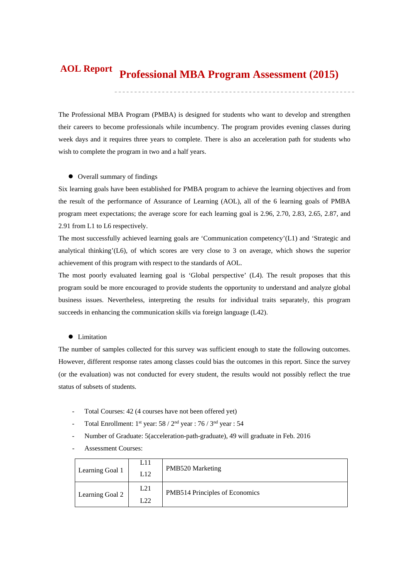#### **Professional MBA Program Assessment (2015) AOL Report**

The Professional MBA Program (PMBA) is designed for students who want to develop and strengthen their careers to become professionals while incumbency. The program provides evening classes during week days and it requires three years to complete. There is also an acceleration path for students who wish to complete the program in two and a half years.

#### $\bullet$  Overall summary of findings

Six learning goals have been established for PMBA program to achieve the learning objectives and from the result of the performance of Assurance of Learning (AOL), all of the 6 learning goals of PMBA program meet expectations; the average score for each learning goal is 2.96, 2.70, 2.83, 2.65, 2.87, and 2.91 from L1 to L6 respectively.

The most successfully achieved learning goals are 'Communication competency'(L1) and 'Strategic and analytical thinking'( $L6$ ), of which scores are very close to 3 on average, which shows the superior achievement of this program with respect to the standards of AOL.

The most poorly evaluated learning goal is 'Global perspective' (L4). The result proposes that this program sould be more encouraged to provide students the opportunity to understand and analyze global business issues. Nevertheless, interpreting the results for individual traits separately, this program succeeds in enhancing the communication skills via foreign language (L42).

#### $\bullet$  Limitation

The number of samples collected for this survey was sufficient enough to state the following outcomes. However, different response rates among classes could bias the outcomes in this report. Since the survey (or the evaluation) was not conducted for every student, the results would not possibly reflect the true status of subsets of students.

- Total Courses: 42 (4 courses have not been offered yet)
- Total Enrollment:  $1^{st}$  year:  $58 / 2^{nd}$  year :  $76 / 3^{nd}$  year :  $54$
- Number of Graduate: 5(acceleration-path-graduate), 49 will graduate in Feb. 2016
- Assessment Courses:

| Learning Goal 1 | L11<br>L12 | <b>PMB520 Marketing</b>        |
|-----------------|------------|--------------------------------|
| Learning Goal 2 | L21<br>L22 | PMB514 Principles of Economics |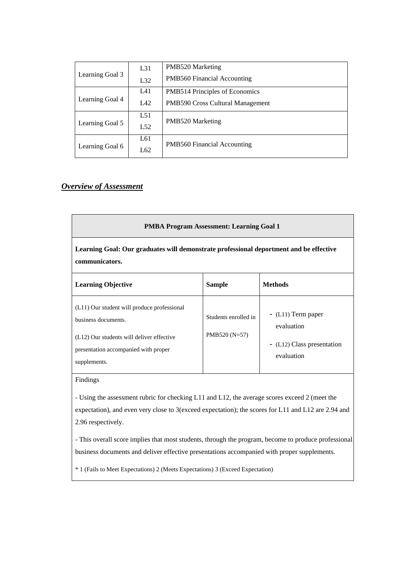|                 | $L_{31}$ | PMB520 Marketing<br>PMB560 Financial Accounting |  |  |  |
|-----------------|----------|-------------------------------------------------|--|--|--|
| Learning Goal 3 | L32      |                                                 |  |  |  |
|                 | L41      | PMB514 Principles of Economics                  |  |  |  |
| Learning Goal 4 | L42      | <b>PMB590 Cross Cultural Management</b>         |  |  |  |
|                 | L51      |                                                 |  |  |  |
| Learning Goal 5 | L52      | PMB520 Marketing                                |  |  |  |
|                 | L61      | <b>PMB560 Financial Accounting</b>              |  |  |  |
| Learning Goal 6 | L62      |                                                 |  |  |  |

# *Overview of Assessment*

| <b>PMBA Program Assessment: Learning Goal 1</b>                                                                                                                         |                                         |                                                                              |  |  |  |  |  |  |
|-------------------------------------------------------------------------------------------------------------------------------------------------------------------------|-----------------------------------------|------------------------------------------------------------------------------|--|--|--|--|--|--|
| Learning Goal: Our graduates will demonstrate professional deportment and be effective<br>communicators.                                                                |                                         |                                                                              |  |  |  |  |  |  |
| <b>Learning Objective</b>                                                                                                                                               | <b>Sample</b>                           | <b>Methods</b>                                                               |  |  |  |  |  |  |
| (L11) Our student will produce professional<br>business documents.<br>(L12) Our students will deliver effective<br>presentation accompanied with proper<br>supplements. | Students enrolled in<br>PMB520 $(N=57)$ | - (L11) Term paper<br>evaluation<br>- (L12) Class presentation<br>evaluation |  |  |  |  |  |  |

# Findings

- Using the assessment rubric for checking L11 and L12, the average scores exceed 2 (meet the expectation), and even very close to 3(exceed expectation); the scores for L11 and L12 are 2.94 and 2.96 respectively.

- This overall score implies that most students, through the program, become to produce professional business documents and deliver effective presentations accompanied with proper supplements.

\* 1 (Fails to Meet Expectations) 2 (Meets Expectations) 3 (Exceed Expectation)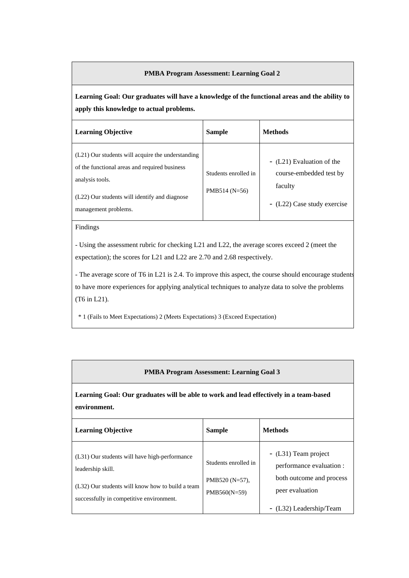### **PMBA Program Assessment: Learning Goal 2**

**Learning Goal: Our graduates will have a knowledge of the functional areas and the ability to apply this knowledge to actual problems.** 

| <b>Learning Objective</b>                                                                                                                                                                      | <b>Sample</b>                           | <b>Methods</b>                                                                                 |
|------------------------------------------------------------------------------------------------------------------------------------------------------------------------------------------------|-----------------------------------------|------------------------------------------------------------------------------------------------|
| (L21) Our students will acquire the understanding<br>of the functional areas and required business<br>analysis tools.<br>(L22) Our students will identify and diagnose<br>management problems. | Students enrolled in<br>PMB514 $(N=56)$ | - (L21) Evaluation of the<br>course-embedded test by<br>faculty<br>- (L22) Case study exercise |

Findings

- Using the assessment rubric for checking L21 and L22, the average scores exceed 2 (meet the expectation); the scores for L21 and L22 are 2.70 and 2.68 respectively.

- The average score of T6 in L21 is 2.4. To improve this aspect, the course should encourage students to have more experiences for applying analytical techniques to analyze data to solve the problems (T6 in L21).

\* 1 (Fails to Meet Expectations) 2 (Meets Expectations) 3 (Exceed Expectation)

#### **PMBA Program Assessment: Learning Goal 3**

**Learning Goal: Our graduates will be able to work and lead effectively in a team-based environment.** 

| <b>Learning Objective</b>                                                                                                                                          | <b>Sample</b>                                               | <b>Methods</b>                                                                                                             |
|--------------------------------------------------------------------------------------------------------------------------------------------------------------------|-------------------------------------------------------------|----------------------------------------------------------------------------------------------------------------------------|
| (L31) Our students will have high-performance<br>leadership skill.<br>(L32) Our students will know how to build a team<br>successfully in competitive environment. | Students enrolled in<br>PMB520 $(N=57)$ ,<br>$PMB560(N=59)$ | - (L31) Team project<br>performance evaluation :<br>both outcome and process<br>peer evaluation<br>- (L32) Leadership/Team |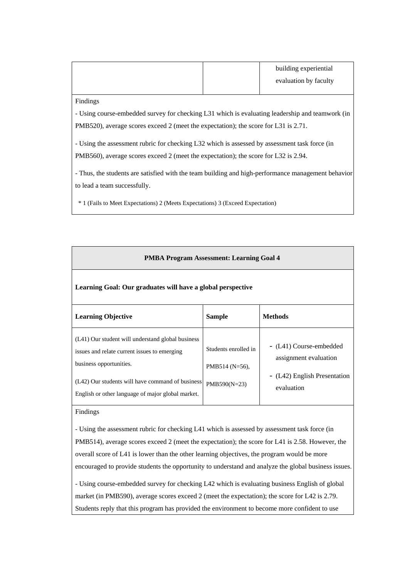|  | building experiential |
|--|-----------------------|
|  | evaluation by faculty |
|  |                       |

Findings

- Using course-embedded survey for checking L31 which is evaluating leadership and teamwork (in PMB520), average scores exceed 2 (meet the expectation); the score for L31 is 2.71.

- Using the assessment rubric for checking L32 which is assessed by assessment task force (in PMB560), average scores exceed 2 (meet the expectation); the score for L32 is 2.94.

- Thus, the students are satisfied with the team building and high-performance management behavior to lead a team successfully.

\* 1 (Fails to Meet Expectations) 2 (Meets Expectations) 3 (Exceed Expectation)

| <b>PMBA Program Assessment: Learning Goal 4</b>                                                                                                                                                                                       |                                                              |                                                                                                |  |  |  |  |  |
|---------------------------------------------------------------------------------------------------------------------------------------------------------------------------------------------------------------------------------------|--------------------------------------------------------------|------------------------------------------------------------------------------------------------|--|--|--|--|--|
| Learning Goal: Our graduates will have a global perspective                                                                                                                                                                           |                                                              |                                                                                                |  |  |  |  |  |
| <b>Learning Objective</b>                                                                                                                                                                                                             | <b>Sample</b>                                                | <b>Methods</b>                                                                                 |  |  |  |  |  |
| (L41) Our student will understand global business<br>issues and relate current issues to emerging<br>business opportunities.<br>(L42) Our students will have command of business<br>English or other language of major global market. | Students enrolled in<br>PMB514 ( $N=56$ ),<br>$PMB590(N=23)$ | - (L41) Course-embedded<br>assignment evaluation<br>- (L42) English Presentation<br>evaluation |  |  |  |  |  |

## Findings

- Using the assessment rubric for checking L41 which is assessed by assessment task force (in PMB514), average scores exceed 2 (meet the expectation); the score for L41 is 2.58. However, the overall score of L41 is lower than the other learning objectives, the program would be more encouraged to provide students the opportunity to understand and analyze the global business issues.

- Using course-embedded survey for checking L42 which is evaluating business English of global market (in PMB590), average scores exceed 2 (meet the expectation); the score for L42 is 2.79. Students reply that this program has provided the environment to become more confident to use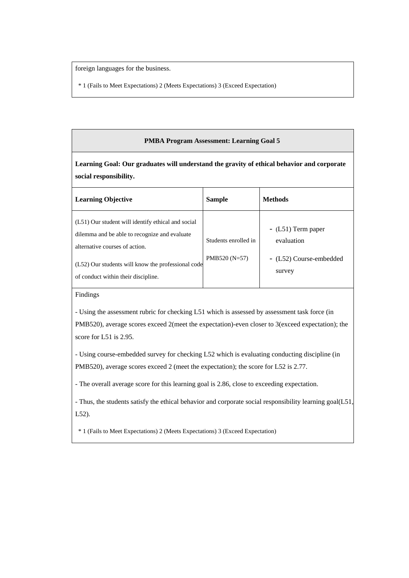foreign languages for the business.

\* 1 (Fails to Meet Expectations) 2 (Meets Expectations) 3 (Exceed Expectation)

### **PMBA Program Assessment: Learning Goal 5**

**Learning Goal: Our graduates will understand the gravity of ethical behavior and corporate social responsibility.** 

| <b>Learning Objective</b>                                                                                                                                                                                                          | <b>Sample</b>                          | <b>Methods</b>                                                         |
|------------------------------------------------------------------------------------------------------------------------------------------------------------------------------------------------------------------------------------|----------------------------------------|------------------------------------------------------------------------|
| (L51) Our student will identify ethical and social<br>dilemma and be able to recognize and evaluate<br>alternative courses of action.<br>(L52) Our students will know the professional code<br>of conduct within their discipline. | Students enrolled in<br>$PMB520(N=57)$ | $-L51$ ) Term paper<br>evaluation<br>- (L52) Course-embedded<br>survey |

Findings

- Using the assessment rubric for checking L51 which is assessed by assessment task force (in PMB520), average scores exceed 2(meet the expectation)-even closer to 3(exceed expectation); the score for L51 is 2.95.

- Using course-embedded survey for checking L52 which is evaluating conducting discipline (in PMB520), average scores exceed 2 (meet the expectation); the score for L52 is 2.77.

- The overall average score for this learning goal is 2.86, close to exceeding expectation.

- Thus, the students satisfy the ethical behavior and corporate social responsibility learning goal(L51, L52).

\* 1 (Fails to Meet Expectations) 2 (Meets Expectations) 3 (Exceed Expectation)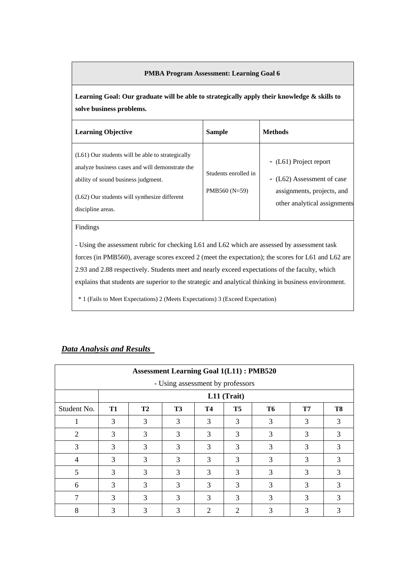### **PMBA Program Assessment: Learning Goal 6**

**Learning Goal: Our graduate will be able to strategically apply their knowledge & skills to solve business problems.** 

| <b>Learning Objective</b>                                                                                                                                                                                           | <b>Sample</b>                          | <b>Methods</b>                                                                                                     |
|---------------------------------------------------------------------------------------------------------------------------------------------------------------------------------------------------------------------|----------------------------------------|--------------------------------------------------------------------------------------------------------------------|
| $(L61)$ Our students will be able to strategically<br>analyze business cases and will demonstrate the<br>ability of sound business judgment.<br>$(L62)$ Our students will synthesize different<br>discipline areas. | Students enrolled in<br>$PMB560(N=59)$ | - (L61) Project report<br>- (L62) Assessment of case<br>assignments, projects, and<br>other analytical assignments |

#### Findings

- Using the assessment rubric for checking L61 and L62 which are assessed by assessment task forces (in PMB560), average scores exceed 2 (meet the expectation); the scores for L61 and L62 are 2.93 and 2.88 respectively. Students meet and nearly exceed expectations of the faculty, which explains that students are superior to the strategic and analytical thinking in business environment.

\* 1 (Fails to Meet Expectations) 2 (Meets Expectations) 3 (Exceed Expectation)

| <b>Assessment Learning Goal 1(L11): PMB520</b><br>- Using assessment by professors |           |                |                |           |                |                |    |                |
|------------------------------------------------------------------------------------|-----------|----------------|----------------|-----------|----------------|----------------|----|----------------|
|                                                                                    |           |                |                |           | L11 (Trait)    |                |    |                |
| Student No.                                                                        | <b>T1</b> | T <sub>2</sub> | T <sub>3</sub> | <b>T4</b> | T <sub>5</sub> | T <sub>6</sub> | T7 | T <sub>8</sub> |
|                                                                                    | 3         | 3              | 3              | 3         | 3              | 3              | 3  | 3              |
| $\overline{2}$                                                                     | 3         | 3              | 3              | 3         | 3              | 3              | 3  | 3              |
| 3                                                                                  | 3         | 3              | 3              | 3         | 3              | 3              | 3  | 3              |
| $\overline{4}$                                                                     | 3         | 3              | 3              | 3         | 3              | 3              | 3  | 3              |
| 5                                                                                  | 3         | 3              | 3              | 3         | 3              | 3              | 3  | 3              |
| 6                                                                                  | 3         | 3              | 3              | 3         | 3              | 3              | 3  | 3              |
| 7                                                                                  | 3         | 3              | 3              | 3         | 3              | 3              | 3  | 3              |
| 8                                                                                  | 3         | 3              | 3              | 2         | 2              | 3              | 3  | 3              |

# *Data Analysis and Results*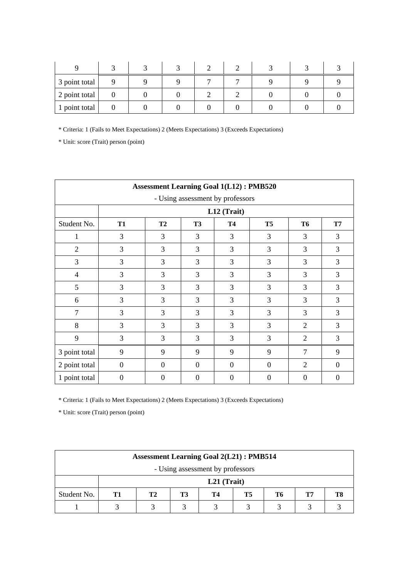| 3 point total |  |  |  |  |
|---------------|--|--|--|--|
| 2 point total |  |  |  |  |
| 1 point total |  |  |  |  |

\* Unit: score (Trait) person (point)

| <b>Assessment Learning Goal 1(L12): PMB520</b> |                  |                  |                |                |                |                |                |  |  |
|------------------------------------------------|------------------|------------------|----------------|----------------|----------------|----------------|----------------|--|--|
| - Using assessment by professors               |                  |                  |                |                |                |                |                |  |  |
|                                                |                  |                  |                | L12 (Trait)    |                |                |                |  |  |
| Student No.                                    | <b>T1</b>        | <b>T2</b>        | T <sub>3</sub> | <b>T4</b>      | T <sub>5</sub> | <b>T6</b>      | <b>T7</b>      |  |  |
| 1                                              | 3                | 3                | 3              | 3              | 3              | 3              | 3              |  |  |
| $\overline{2}$                                 | 3                | 3                | 3              | 3              | 3              | 3              | 3              |  |  |
| $\overline{3}$                                 | 3                | 3                | 3              | 3              | 3              | 3              | 3              |  |  |
| 4                                              | 3                | 3                | 3              | 3              | 3              | 3              | 3              |  |  |
| 5                                              | 3                | 3                | 3              | 3              | 3              | 3              | 3              |  |  |
| 6                                              | 3                | 3                | 3              | 3              | 3              | 3              | 3              |  |  |
| $\overline{7}$                                 | 3                | 3                | 3              | 3              | 3              | 3              | 3              |  |  |
| 8                                              | 3                | 3                | 3              | 3              | 3              | $\overline{2}$ | 3              |  |  |
| 9                                              | 3                | 3                | 3              | 3              | 3              | $\overline{2}$ | 3              |  |  |
| 3 point total                                  | 9                | 9                | 9              | 9              | 9              | $\overline{7}$ | 9              |  |  |
| 2 point total                                  | $\mathbf{0}$     | $\boldsymbol{0}$ | $\overline{0}$ | $\overline{0}$ | $\Omega$       | $\overline{2}$ | $\overline{0}$ |  |  |
| 1 point total                                  | $\boldsymbol{0}$ | $\theta$         | $\theta$       | $\theta$       | $\overline{0}$ | $\theta$       | $\theta$       |  |  |

\* Criteria: 1 (Fails to Meet Expectations) 2 (Meets Expectations) 3 (Exceeds Expectations)

| <b>Assessment Learning Goal 2(L21): PMB514</b> |               |    |    |    |    |    |    |  |
|------------------------------------------------|---------------|----|----|----|----|----|----|--|
| - Using assessment by professors               |               |    |    |    |    |    |    |  |
|                                                | $L21$ (Trait) |    |    |    |    |    |    |  |
| Student No.                                    | Т1            | Т2 | T3 | Т4 | T5 | T6 | Т7 |  |
|                                                |               |    |    |    |    |    |    |  |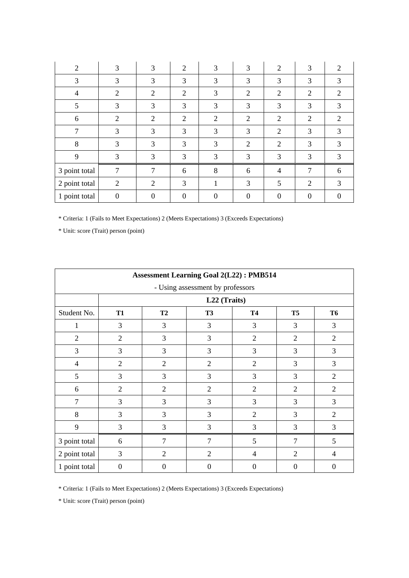| 2              | 3              | 3              | $\overline{2}$   | 3              | 3              | $\overline{2}$ | 3              | 2              |
|----------------|----------------|----------------|------------------|----------------|----------------|----------------|----------------|----------------|
| 3              | 3              | 3              | 3                | 3              | 3              | 3              | 3              | 3              |
| $\overline{4}$ | 2              | $\overline{2}$ | $\overline{2}$   | 3              | $\overline{2}$ | $\overline{2}$ | $\overline{2}$ | 2              |
| 5              | 3              | 3              | 3                | 3              | 3              | 3              | 3              | 3              |
| 6              | $\overline{2}$ | $\overline{2}$ | 2                | $\overline{2}$ | $\overline{2}$ | $\overline{2}$ | 2              | $\overline{2}$ |
| $\overline{7}$ | 3              | 3              | 3                | 3              | 3              | $\overline{2}$ | 3              | 3              |
| 8              | 3              | 3              | 3                | 3              | $\overline{2}$ | $\overline{2}$ | 3              | 3              |
| 9              | 3              | 3              | 3                | 3              | 3              | 3              | 3              | 3              |
| 3 point total  | 7              | 7              | 6                | 8              | 6              | $\overline{4}$ | 7              | 6              |
| 2 point total  | $\overline{2}$ | $\overline{2}$ | 3                |                | 3              | 5              | 2              | 3              |
| 1 point total  | $\overline{0}$ | $\theta$       | $\boldsymbol{0}$ |                | $\theta$       | 0              | $\theta$       |                |

\* Unit: score (Trait) person (point)

| <b>Assessment Learning Goal 2(L22): PMB514</b> |                |                |                                  |                |                |                |
|------------------------------------------------|----------------|----------------|----------------------------------|----------------|----------------|----------------|
|                                                |                |                | - Using assessment by professors |                |                |                |
|                                                |                |                | L22 (Traits)                     |                |                |                |
| Student No.                                    | <b>T1</b>      | <b>T2</b>      | <b>T3</b>                        | <b>T4</b>      | T <sub>5</sub> | <b>T6</b>      |
| 1                                              | 3              | 3              | 3                                | 3              | 3              | 3              |
| $\overline{2}$                                 | $\overline{2}$ | 3              | 3                                | $\overline{2}$ | $\overline{2}$ | $\overline{2}$ |
| $\overline{3}$                                 | 3              | $\overline{3}$ | 3                                | $\overline{3}$ | 3              | 3              |
| $\overline{4}$                                 | $\overline{2}$ | $\overline{2}$ | $\overline{2}$                   | $\overline{2}$ | 3              | 3              |
| 5                                              | 3              | 3              | 3                                | 3              | 3              | $\overline{2}$ |
| 6                                              | $\overline{2}$ | $\overline{2}$ | $\overline{2}$                   | $\overline{2}$ | $\overline{2}$ | $\overline{2}$ |
| $\overline{7}$                                 | 3              | $\overline{3}$ | 3                                | 3              | 3              | 3              |
| 8                                              | 3              | 3              | 3                                | $\overline{2}$ | 3              | $\overline{2}$ |
| 9                                              | 3              | 3              | 3                                | 3              | 3              | 3              |
| 3 point total                                  | 6              | $\overline{7}$ | $\overline{7}$                   | 5              | $\overline{7}$ | 5              |
| 2 point total                                  | 3              | $\overline{2}$ | $\overline{2}$                   | 4              | $\overline{2}$ | 4              |
| 1 point total                                  | $\overline{0}$ | $\Omega$       | $\theta$                         | $\theta$       | $\theta$       | $\theta$       |

\* Criteria: 1 (Fails to Meet Expectations) 2 (Meets Expectations) 3 (Exceeds Expectations)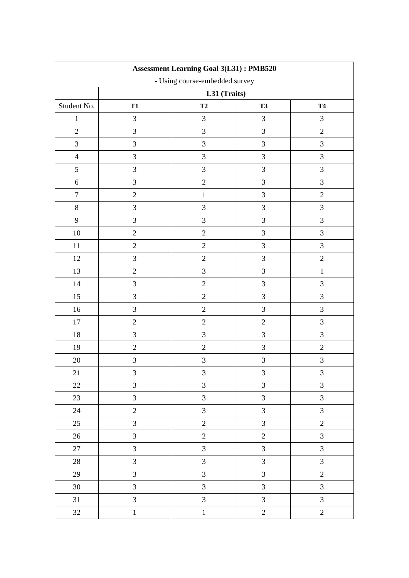| <b>Assessment Learning Goal 3(L31): PMB520</b> |                                |                |                         |                |  |  |
|------------------------------------------------|--------------------------------|----------------|-------------------------|----------------|--|--|
|                                                | - Using course-embedded survey |                |                         |                |  |  |
|                                                |                                | L31 (Traits)   |                         |                |  |  |
| Student No.                                    | <b>T1</b>                      | T2             | <b>T3</b>               | <b>T4</b>      |  |  |
| $\mathbf{1}$                                   | $\mathfrak{Z}$                 | 3              | $\mathfrak{Z}$          | $\mathfrak{Z}$ |  |  |
| $\overline{c}$                                 | $\overline{3}$                 | 3              | $\overline{3}$          | $\sqrt{2}$     |  |  |
| $\mathfrak{Z}$                                 | $\mathfrak{Z}$                 | 3              | $\overline{3}$          | $\mathfrak{Z}$ |  |  |
| $\overline{4}$                                 | $\mathfrak{Z}$                 | $\overline{3}$ | $\overline{3}$          | 3              |  |  |
| $\mathfrak s$                                  | $\mathfrak{Z}$                 | 3              | 3                       | $\mathfrak{Z}$ |  |  |
| $\boldsymbol{6}$                               | $\mathfrak{Z}$                 | $\overline{2}$ | $\mathfrak{Z}$          | $\overline{3}$ |  |  |
| $\tau$                                         | $\overline{2}$                 | $\mathbf{1}$   | $\mathfrak{Z}$          | $\overline{2}$ |  |  |
| $8\,$                                          | $\mathfrak{Z}$                 | $\overline{3}$ | $\overline{3}$          | $\mathfrak{Z}$ |  |  |
| 9                                              | $\mathfrak{Z}$                 | 3              | $\mathfrak{Z}$          | $\mathfrak{Z}$ |  |  |
| $10\,$                                         | $\sqrt{2}$                     | $\overline{2}$ | 3                       | $\mathfrak{Z}$ |  |  |
| 11                                             | $\sqrt{2}$                     | $\sqrt{2}$     | 3                       | $\mathfrak{Z}$ |  |  |
| 12                                             | $\mathfrak{Z}$                 | $\overline{2}$ | 3                       | $\overline{2}$ |  |  |
| 13                                             | $\overline{2}$                 | 3              | $\overline{3}$          | $\,1\,$        |  |  |
| 14                                             | $\overline{3}$                 | $\overline{c}$ | $\overline{3}$          | $\mathfrak{Z}$ |  |  |
| 15                                             | $\mathfrak{Z}$                 | $\overline{2}$ | $\mathfrak{Z}$          | 3              |  |  |
| 16                                             | $\mathfrak{Z}$                 | $\overline{2}$ | $\mathfrak{Z}$          | $\mathfrak{Z}$ |  |  |
| 17                                             | $\sqrt{2}$                     | $\sqrt{2}$     | $\overline{c}$          | $\mathfrak{Z}$ |  |  |
| 18                                             | $\mathfrak{Z}$                 | 3              | $\mathfrak{Z}$          | $\mathfrak{Z}$ |  |  |
| 19                                             | $\sqrt{2}$                     | $\overline{2}$ | $\overline{3}$          | $\sqrt{2}$     |  |  |
| 20                                             | $\mathfrak{Z}$                 | $\overline{3}$ | 3                       | 3              |  |  |
| 21                                             | 3                              | 3              | 3                       | 3              |  |  |
| $22\,$                                         | $\mathfrak{Z}$                 | $\overline{3}$ | $\mathfrak{Z}$          | $\mathfrak{Z}$ |  |  |
| 23                                             | $\mathfrak{Z}$                 | $\overline{3}$ | $\mathfrak{Z}$          | $\mathfrak{Z}$ |  |  |
| 24                                             | $\overline{c}$                 | $\mathfrak{Z}$ | $\mathfrak{Z}$          | $\mathfrak{Z}$ |  |  |
| 25                                             | $\mathfrak{Z}$                 | $\overline{2}$ | $\mathfrak{Z}$          | $\overline{c}$ |  |  |
| $26\,$                                         | $\overline{3}$                 | $\overline{c}$ | $\overline{c}$          | $\mathfrak{Z}$ |  |  |
| $27\,$                                         | $\overline{3}$                 | $\overline{3}$ | $\overline{3}$          | $\mathfrak{Z}$ |  |  |
| $28\,$                                         | $\mathfrak{Z}$                 | $\overline{3}$ | $\overline{3}$          | $\mathfrak{Z}$ |  |  |
| 29                                             | $\mathfrak{Z}$                 | $\overline{3}$ | $\overline{\mathbf{3}}$ | $\sqrt{2}$     |  |  |
| $30\,$                                         | $\mathfrak{Z}$                 | $\mathfrak{Z}$ | $\mathfrak{Z}$          | $\mathfrak{Z}$ |  |  |
| $31\,$                                         | $\mathfrak{Z}$                 | $\overline{3}$ | $\mathfrak{Z}$          | $\mathfrak{Z}$ |  |  |
| 32                                             | $\,1$                          | $\,1\,$        | $\sqrt{2}$              | $\overline{2}$ |  |  |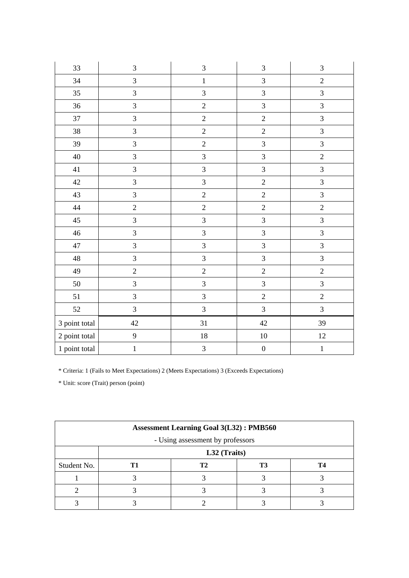| 33            | $\mathfrak{Z}$          | $\overline{3}$          | $\mathfrak 3$           | $\mathfrak{Z}$ |
|---------------|-------------------------|-------------------------|-------------------------|----------------|
| 34            | $\overline{\mathbf{3}}$ | $\mathbf 1$             | $\overline{3}$          | $\sqrt{2}$     |
| 35            | $\overline{3}$          | $\overline{3}$          | $\overline{3}$          | $\overline{3}$ |
| 36            | 3                       | $\overline{2}$          | $\overline{\mathbf{3}}$ | $\overline{3}$ |
| 37            | $\overline{3}$          | $\overline{2}$          | $\overline{c}$          | $\overline{3}$ |
| 38            | $\overline{3}$          | $\overline{2}$          | $\overline{2}$          | $\overline{3}$ |
| 39            | $\overline{\mathbf{3}}$ | $\overline{c}$          | $\overline{\mathbf{3}}$ | $\overline{3}$ |
| $40\,$        | $\overline{\mathbf{3}}$ | $\overline{3}$          | $\overline{3}$          | $\sqrt{2}$     |
| 41            | $\overline{3}$          | $\overline{3}$          | $\overline{3}$          | $\mathfrak{Z}$ |
| 42            | $\overline{3}$          | $\overline{3}$          | $\overline{c}$          | $\overline{3}$ |
| 43            | $\overline{3}$          | $\overline{2}$          | $\overline{c}$          | $\overline{3}$ |
| $44\,$        | $\sqrt{2}$              | $\overline{2}$          | $\overline{c}$          | $\sqrt{2}$     |
| 45            | $\overline{3}$          | $\overline{3}$          | $\overline{3}$          | $\overline{3}$ |
| 46            | $\overline{3}$          | $\overline{3}$          | 3                       | $\overline{3}$ |
| 47            | $\overline{\mathbf{3}}$ | 3                       | $\overline{\mathbf{3}}$ | $\overline{3}$ |
| 48            | $\overline{\mathbf{3}}$ | $\overline{3}$          | $\overline{3}$          | $\overline{3}$ |
| 49            | $\overline{c}$          | $\overline{2}$          | $\overline{c}$          | $\overline{c}$ |
| 50            | $\overline{\mathbf{3}}$ | $\overline{3}$          | $\overline{\mathbf{3}}$ | $\overline{3}$ |
| 51            | $\mathfrak{Z}$          | $\overline{3}$          | $\overline{2}$          | $\sqrt{2}$     |
| 52            | $\overline{3}$          | $\overline{3}$          | $\overline{3}$          | 3              |
| 3 point total | $42\,$                  | 31                      | $42\,$                  | 39             |
| 2 point total | $\mathbf{9}$            | $18\,$                  | $10\,$                  | $12\,$         |
| 1 point total | $\mathbf{1}$            | $\overline{\mathbf{3}}$ | $\boldsymbol{0}$        | $\mathbf 1$    |

| <b>Assessment Learning Goal 3(L32): PMB560</b> |              |    |    |    |  |
|------------------------------------------------|--------------|----|----|----|--|
| - Using assessment by professors               |              |    |    |    |  |
|                                                | L32 (Traits) |    |    |    |  |
| Student No.                                    |              | T2 | T3 | T4 |  |
|                                                |              |    |    |    |  |
|                                                |              |    |    |    |  |
|                                                |              |    |    |    |  |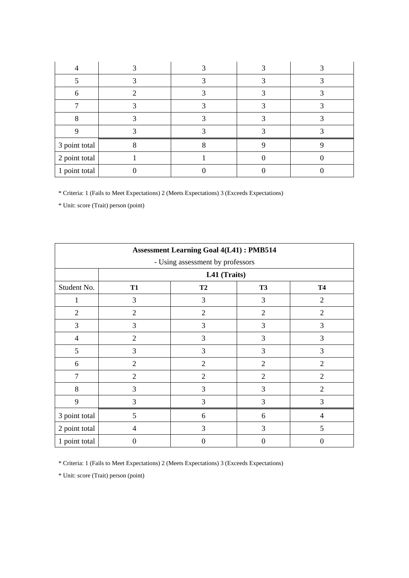| 3 point total |  |  |
|---------------|--|--|
| 2 point total |  |  |
| 1 point total |  |  |

\* Unit: score (Trait) person (point)

| <b>Assessment Learning Goal 4(L41): PMB514</b> |                |                                  |                |                  |  |
|------------------------------------------------|----------------|----------------------------------|----------------|------------------|--|
|                                                |                | - Using assessment by professors |                |                  |  |
|                                                |                | L41 (Traits)                     |                |                  |  |
| Student No.                                    | <b>T1</b>      | <b>T2</b>                        | <b>T3</b>      | <b>T4</b>        |  |
|                                                | 3              | 3                                | 3              | $\overline{2}$   |  |
| 2                                              | $\overline{2}$ | 2                                | $\overline{2}$ | $\overline{2}$   |  |
| 3                                              | 3              | 3                                | 3              | 3                |  |
| $\overline{4}$                                 | $\overline{2}$ | 3                                | 3              | 3                |  |
| 5                                              | 3              | 3                                | 3              | 3                |  |
| 6                                              | $\overline{2}$ | $\overline{2}$                   | $\mathfrak{2}$ | $\overline{2}$   |  |
| $\overline{7}$                                 | $\overline{2}$ | $\overline{2}$                   | $\overline{2}$ | $\overline{2}$   |  |
| 8                                              | 3              | 3                                | 3              | $\overline{2}$   |  |
| 9                                              | 3              | 3                                | 3              | 3                |  |
| 3 point total                                  | 5              | 6                                | 6              | $\overline{4}$   |  |
| 2 point total                                  | $\overline{4}$ | 3                                | 3              | 5                |  |
| 1 point total                                  | $\Omega$       | $\theta$                         | 0              | $\boldsymbol{0}$ |  |

\* Criteria: 1 (Fails to Meet Expectations) 2 (Meets Expectations) 3 (Exceeds Expectations)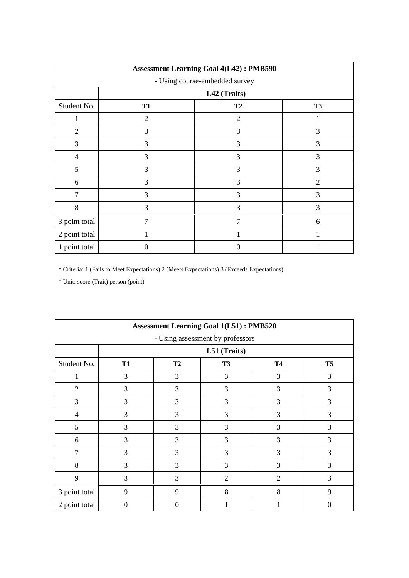| <b>Assessment Learning Goal 4(L42): PMB590</b> |                                |                |                |  |  |
|------------------------------------------------|--------------------------------|----------------|----------------|--|--|
|                                                | - Using course-embedded survey |                |                |  |  |
|                                                |                                | L42 (Traits)   |                |  |  |
| Student No.                                    | <b>T1</b>                      | T2             | <b>T3</b>      |  |  |
| 1                                              | $\overline{2}$                 | $\mathfrak{2}$ |                |  |  |
| $\overline{2}$                                 | 3                              | 3              | 3              |  |  |
| 3                                              | 3                              | 3              | 3              |  |  |
| 4                                              | 3                              | 3              | 3              |  |  |
| 5                                              | 3                              | 3              | 3              |  |  |
| 6                                              | 3                              | 3              | $\overline{2}$ |  |  |
| 7                                              | 3                              | 3              | 3              |  |  |
| 8                                              | 3                              | 3              | 3              |  |  |
| 3 point total                                  | 7                              | 7              | 6              |  |  |
| 2 point total                                  |                                |                |                |  |  |
| 1 point total                                  | $\Omega$                       | 0              |                |  |  |

| <b>Assessment Learning Goal 1(L51): PMB520</b> |           |                  |                                  |                |                |
|------------------------------------------------|-----------|------------------|----------------------------------|----------------|----------------|
|                                                |           |                  | - Using assessment by professors |                |                |
|                                                |           |                  | L51 (Traits)                     |                |                |
| Student No.                                    | <b>T1</b> | <b>T2</b>        | <b>T3</b>                        | <b>T4</b>      | T <sub>5</sub> |
|                                                | 3         | 3                | 3                                | 3              | 3              |
| $\overline{2}$                                 | 3         | 3                | 3                                | 3              | 3              |
| 3                                              | 3         | 3                | 3                                | 3              | 3              |
| $\overline{4}$                                 | 3         | 3                | 3                                | 3              | 3              |
| 5                                              | 3         | 3                | 3                                | 3              | 3              |
| 6                                              | 3         | 3                | 3                                | 3              | 3              |
| 7                                              | 3         | 3                | 3                                | 3              | 3              |
| 8                                              | 3         | 3                | 3                                | 3              | 3              |
| 9                                              | 3         | 3                | $\overline{2}$                   | $\overline{2}$ | 3              |
| 3 point total                                  | 9         | 9                | 8                                | 8              | 9              |
| 2 point total                                  | $\Omega$  | $\boldsymbol{0}$ |                                  |                | $\theta$       |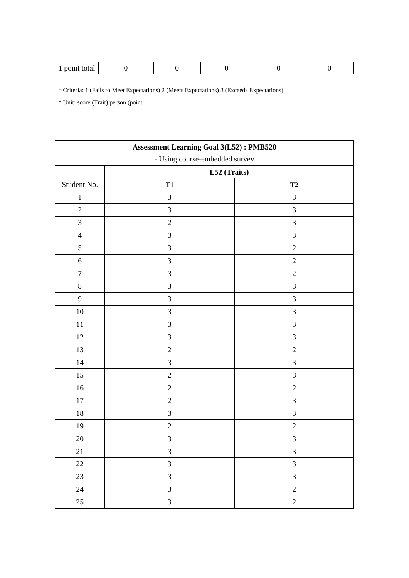| 1001n<br>$-0.40$<br>wiai<br>- |  |
|-------------------------------|--|
|-------------------------------|--|

| <b>Assessment Learning Goal 3(L52): PMB520</b> |                |                |  |  |  |  |
|------------------------------------------------|----------------|----------------|--|--|--|--|
| - Using course-embedded survey                 |                |                |  |  |  |  |
|                                                | L52 (Traits)   |                |  |  |  |  |
| Student No.                                    | <b>T1</b>      | T2             |  |  |  |  |
| $\mathbf{1}$                                   | $\mathfrak{Z}$ | $\mathfrak{Z}$ |  |  |  |  |
| $\sqrt{2}$                                     | $\overline{3}$ | 3              |  |  |  |  |
| $\mathfrak{Z}$                                 | $\sqrt{2}$     | $\mathfrak{Z}$ |  |  |  |  |
| $\overline{4}$                                 | $\overline{3}$ | $\mathfrak 3$  |  |  |  |  |
| $\mathfrak s$                                  | $\mathfrak{Z}$ | $\sqrt{2}$     |  |  |  |  |
| $\sqrt{6}$                                     | 3              | $\sqrt{2}$     |  |  |  |  |
| $\boldsymbol{7}$                               | 3              | $\overline{2}$ |  |  |  |  |
| $8\,$                                          | 3              | 3              |  |  |  |  |
| 9                                              | 3              | $\mathfrak{Z}$ |  |  |  |  |
| 10                                             | $\mathfrak{Z}$ | 3              |  |  |  |  |
| $11\,$                                         | 3              | 3              |  |  |  |  |
| $12\,$                                         | 3              | $\mathfrak 3$  |  |  |  |  |
| 13                                             | $\overline{2}$ | $\sqrt{2}$     |  |  |  |  |
| $14\,$                                         | 3              | $\mathfrak{Z}$ |  |  |  |  |
| $15\,$                                         | $\overline{2}$ | $\mathfrak{Z}$ |  |  |  |  |
| 16                                             | $\overline{c}$ | $\sqrt{2}$     |  |  |  |  |
| $17\,$                                         | $\overline{2}$ | 3              |  |  |  |  |
| $18\,$                                         | 3              | $\mathfrak{Z}$ |  |  |  |  |
| 19                                             | $\sqrt{2}$     | $\overline{2}$ |  |  |  |  |
| $20\,$                                         | $\mathfrak{Z}$ | 3              |  |  |  |  |
| 21                                             | 3              | 3              |  |  |  |  |
| 22                                             | $\mathfrak{Z}$ | $\mathfrak{Z}$ |  |  |  |  |
| 23                                             | 3              | $\mathfrak{Z}$ |  |  |  |  |
| $24\,$                                         | $\mathfrak{Z}$ | $\sqrt{2}$     |  |  |  |  |
| 25                                             | $\overline{3}$ | $\overline{2}$ |  |  |  |  |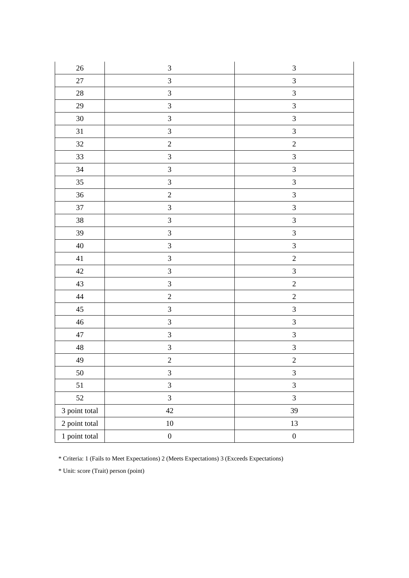| $26\,$        | $\ensuremath{\mathfrak{Z}}$ | $\ensuremath{\mathfrak{Z}}$ |
|---------------|-----------------------------|-----------------------------|
| $27\,$        | $\overline{3}$              | $\overline{3}$              |
| $28\,$        | $\overline{3}$              | $\overline{3}$              |
| $29\,$        | $\overline{3}$              | $\overline{3}$              |
| $30\,$        | $\mathfrak{Z}$              | $\sqrt{3}$                  |
| 31            | $\overline{3}$              | $\overline{3}$              |
| 32            | $\sqrt{2}$                  | $\sqrt{2}$                  |
| 33            | $\overline{3}$              | $\overline{3}$              |
| 34            | $\overline{3}$              | $\mathfrak{Z}$              |
| $35\,$        | $\mathfrak{Z}$              | $\overline{3}$              |
| $36\,$        | $\overline{2}$              | $\overline{\mathbf{3}}$     |
| $37\,$        | $\overline{3}$              | $\overline{\mathbf{3}}$     |
| $38\,$        | $\overline{3}$              | $\overline{3}$              |
| 39            | $\overline{\mathbf{3}}$     | $\overline{3}$              |
| $40\,$        | $\overline{3}$              | $\overline{3}$              |
| 41            | $\overline{3}$              | $\sqrt{2}$                  |
| $42\,$        | $\overline{3}$              | $\mathfrak{Z}$              |
| 43            | $\overline{3}$              | $\overline{c}$              |
| 44            | $\overline{c}$              | $\sqrt{2}$                  |
| $45\,$        | $\overline{3}$              | $\mathfrak{Z}$              |
| 46            | $\mathfrak{Z}$              | $\mathfrak{Z}$              |
| $47\,$        | $\mathfrak{Z}$              | $\mathfrak{Z}$              |
| $\sqrt{48}$   | $\overline{\mathbf{3}}$     | $\overline{\mathbf{3}}$     |
| 49            | $\overline{c}$              | $\overline{c}$              |
| 50            | $\mathfrak{Z}$              | $\ensuremath{\mathfrak{Z}}$ |
| 51            | $\overline{3}$              | $\mathfrak{Z}$              |
| 52            | $\overline{3}$              | $\mathfrak{Z}$              |
| 3 point total | $42\,$                      | 39                          |
| 2 point total | $10\,$                      | $13\,$                      |
| 1 point total | $\boldsymbol{0}$            | $\boldsymbol{0}$            |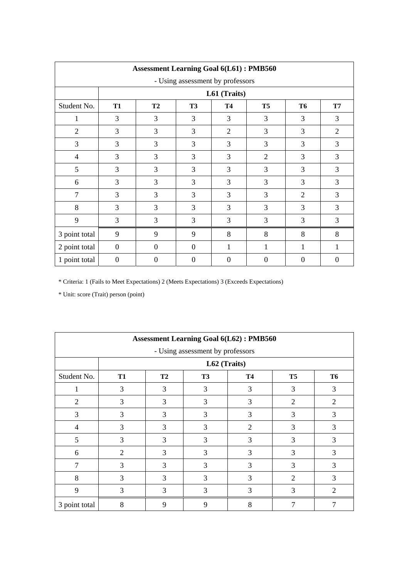| <b>Assessment Learning Goal 6(L61): PMB560</b> |                |                |                |                |                |                |                |  |  |
|------------------------------------------------|----------------|----------------|----------------|----------------|----------------|----------------|----------------|--|--|
| - Using assessment by professors               |                |                |                |                |                |                |                |  |  |
|                                                | L61 (Traits)   |                |                |                |                |                |                |  |  |
| Student No.                                    | <b>T1</b>      | <b>T2</b>      | <b>T3</b>      | <b>T4</b>      | T <sub>5</sub> | <b>T6</b>      | <b>T7</b>      |  |  |
| 1                                              | 3              | 3              | 3              | 3              | 3              | 3              | 3              |  |  |
| $\overline{2}$                                 | 3              | 3              | 3              | 2              | 3              | 3              | $\overline{2}$ |  |  |
| 3                                              | 3              | 3              | 3              | 3              | 3              | 3              | 3              |  |  |
| $\overline{4}$                                 | 3              | 3              | 3              | 3              | 2              | 3              | 3              |  |  |
| 5                                              | 3              | 3              | 3              | 3              | 3              | 3              | 3              |  |  |
| 6                                              | 3              | 3              | 3              | $\overline{3}$ | 3              | 3              | 3              |  |  |
| $\tau$                                         | 3              | 3              | 3              | 3              | 3              | $\overline{2}$ | 3              |  |  |
| 8                                              | 3              | 3              | 3              | 3              | 3              | 3              | 3              |  |  |
| 9                                              | 3              | 3              | 3              | 3              | 3              | 3              | 3              |  |  |
| 3 point total                                  | 9              | 9              | 9              | 8              | 8              | 8              | 8              |  |  |
| 2 point total                                  | $\overline{0}$ | $\Omega$       | $\overline{0}$ | 1              | 1              | 1              | 1              |  |  |
| 1 point total                                  | $\overline{0}$ | $\overline{0}$ | $\theta$       | $\theta$       | $\overline{0}$ | $\Omega$       | $\theta$       |  |  |

| <b>Assessment Learning Goal 6(L62): PMB560</b> |                |                |           |                |                |                |  |  |
|------------------------------------------------|----------------|----------------|-----------|----------------|----------------|----------------|--|--|
| - Using assessment by professors               |                |                |           |                |                |                |  |  |
|                                                | L62 (Traits)   |                |           |                |                |                |  |  |
| Student No.                                    | <b>T1</b>      | T <sub>2</sub> | <b>T3</b> | <b>T4</b>      | T <sub>5</sub> | <b>T6</b>      |  |  |
|                                                | 3              | 3              | 3         | 3              | 3              | 3              |  |  |
| $\overline{2}$                                 | 3              | 3              | 3         | 3              | $\overline{2}$ | $\overline{2}$ |  |  |
| 3                                              | 3              | 3              | 3         | 3              | 3              | 3              |  |  |
| $\overline{4}$                                 | 3              | 3              | 3         | $\overline{2}$ | 3              | 3              |  |  |
| 5                                              | 3              | 3              | 3         | 3              | 3              | 3              |  |  |
| 6                                              | $\overline{2}$ | 3              | 3         | 3              | 3              | 3              |  |  |
| 7                                              | 3              | 3              | 3         | 3              | 3              | 3              |  |  |
| 8                                              | 3              | 3              | 3         | 3              | $\overline{2}$ | 3              |  |  |
| 9                                              | 3              | 3              | 3         | 3              | 3              | $\overline{2}$ |  |  |
| 3 point total                                  | 8              | 9              | 9         | 8              |                |                |  |  |